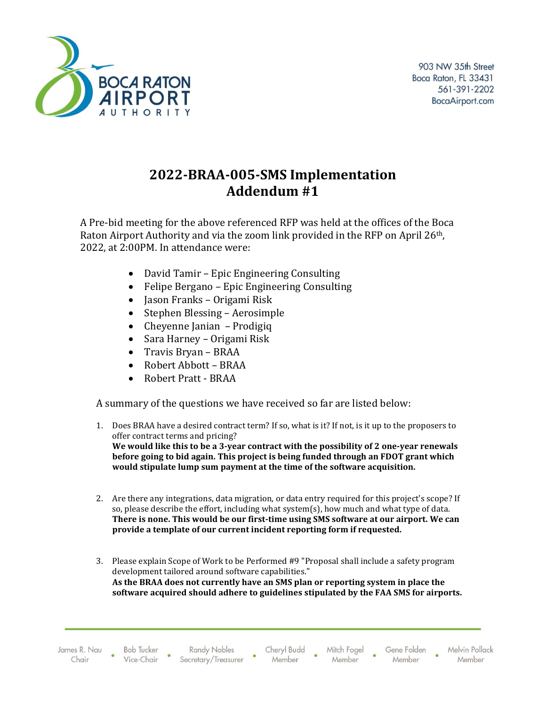

## **2022-BRAA-005-SMS Implementation Addendum #1**

A Pre-bid meeting for the above referenced RFP was held at the offices of the Boca Raton Airport Authority and via the zoom link provided in the RFP on April 26<sup>th</sup>, 2022, at 2:00PM. In attendance were:

- David Tamir Epic Engineering Consulting
- Felipe Bergano Epic Engineering Consulting
- Jason Franks Origami Risk
- Stephen Blessing Aerosimple
- Cheyenne Janian Prodigiq
- Sara Harney Origami Risk
- Travis Bryan BRAA
- Robert Abbott BRAA
- Robert Pratt BRAA

A summary of the questions we have received so far are listed below:

- 1. Does BRAA have a desired contract term? If so, what is it? If not, is it up to the proposers to offer contract terms and pricing? **We would like this to be a 3-year contract with the possibility of 2 one-year renewals before going to bid again. This project is being funded through an FDOT grant which would stipulate lump sum payment at the time of the software acquisition.**
- 2. Are there any integrations, data migration, or data entry required for this project's scope? If so, please describe the effort, including what system(s), how much and what type of data. **There is none. This would be our first-time using SMS software at our airport. We can provide a template of our current incident reporting form if requested.**
- 3. Please explain Scope of Work to be Performed #9 "Proposal shall include a safety program development tailored around software capabilities." **As the BRAA does not currently have an SMS plan or reporting system in place the software acquired should adhere to guidelines stipulated by the FAA SMS for airports.**

James R. Nau Chair

**Bob Tucker** Vice-Chair

**Randy Nobles** Secretary/Treasurer Cheryl Budd Member

Mitch Fogel Member

Gene Folden Member

Melvin Pollack Member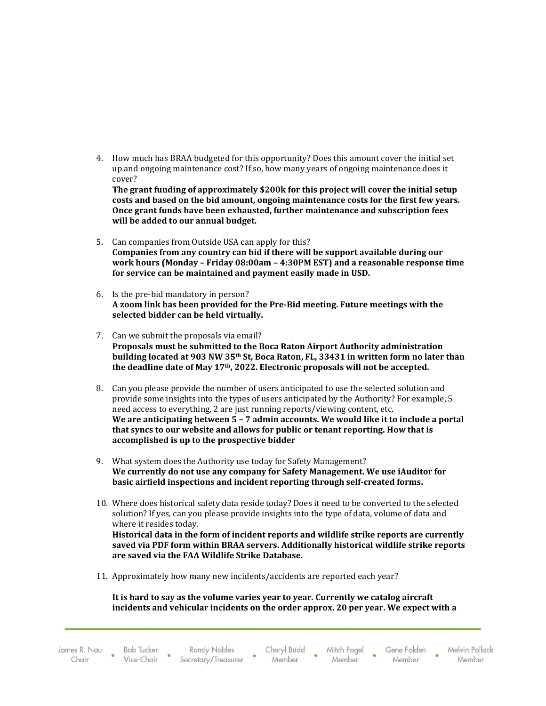4. How much has BRAA budgeted for this opportunity? Does this amount cover the initial set up and ongoing maintenance cost? If so, how many years of ongoing maintenance does it cover?

**The grant funding of approximately \$200k for this project will cover the initial setup costs and based on the bid amount, ongoing maintenance costs for the first few years. Once grant funds have been exhausted, further maintenance and subscription fees will be added to our annual budget.**

- 5. Can companies from Outside USA can apply for this? **Companies from any country can bid if there will be support available during our work hours (Monday – Friday 08:00am – 4:30PM EST) and a reasonable response time for service can be maintained and payment easily made in USD.**
- 6. Is the pre-bid mandatory in person? **A zoom link has been provided for the Pre-Bid meeting. Future meetings with the selected bidder can be held virtually.**
- 7. Can we submit the proposals via email? **Proposals must be submitted to the Boca Raton Airport Authority administration building located at 903 NW 35th St, Boca Raton, FL, 33431 in written form no later than the deadline date of May 17th, 2022. Electronic proposals will not be accepted.**
- 8. Can you please provide the number of users anticipated to use the selected solution and provide some insights into the types of users anticipated by the Authority? For example, 5 need access to everything, 2 are just running reports/viewing content, etc. **We are anticipating between 5 – 7 admin accounts. We would like it to include a portal that syncs to our website and allows for public or tenant reporting. How that is accomplished is up to the prospective bidder**
- 9. What system does the Authority use today for Safety Management? **We currently do not use any company for Safety Management. We use iAuditor for basic airfield inspections and incident reporting through self-created forms.**
- 10. Where does historical safety data reside today? Does it need to be converted to the selected solution? If yes, can you please provide insights into the type of data, volume of data and where it resides today. **Historical data in the form of incident reports and wildlife strike reports are currently saved via PDF form within BRAA servers. Additionally historical wildlife strike reports are saved via the FAA Wildlife Strike Database.**
- 11. Approximately how many new incidents/accidents are reported each year?

**It is hard to say as the volume varies year to year. Currently we catalog aircraft incidents and vehicular incidents on the order approx. 20 per year. We expect with a** 

**Bob Tucker** Vice-Chair

**Randy Nobles** Secretary/Treasurer Cheryl Budd Mitch Fogel Member

Member

Gene Folden Member

Melvin Pollack Member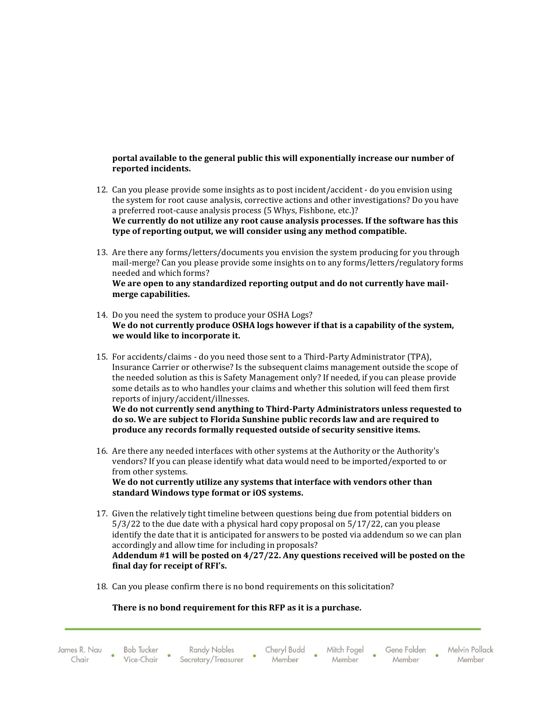## **portal available to the general public this will exponentially increase our number of reported incidents.**

- 12. Can you please provide some insights as to post incident/accident do you envision using the system for root cause analysis, corrective actions and other investigations? Do you have a preferred root-cause analysis process (5 Whys, Fishbone, etc.)? **We currently do not utilize any root cause analysis processes. If the software has this type of reporting output, we will consider using any method compatible.**
- 13. Are there any forms/letters/documents you envision the system producing for you through mail-merge? Can you please provide some insights on to any forms/letters/regulatory forms needed and which forms? **We are open to any standardized reporting output and do not currently have mail-**
- **merge capabilities.**  14. Do you need the system to produce your OSHA Logs?
- **We do not currently produce OSHA logs however if that is a capability of the system, we would like to incorporate it.**
- 15. For accidents/claims do you need those sent to a Third-Party Administrator (TPA), Insurance Carrier or otherwise? Is the subsequent claims management outside the scope of the needed solution as this is Safety Management only? If needed, if you can please provide some details as to who handles your claims and whether this solution will feed them first reports of injury/accident/illnesses.

**We do not currently send anything to Third-Party Administrators unless requested to do so. We are subject to Florida Sunshine public records law and are required to produce any records formally requested outside of security sensitive items.** 

16. Are there any needed interfaces with other systems at the Authority or the Authority's vendors? If you can please identify what data would need to be imported/exported to or from other systems.

**We do not currently utilize any systems that interface with vendors other than standard Windows type format or iOS systems.**

- 17. Given the relatively tight timeline between questions being due from potential bidders on 5/3/22 to the due date with a physical hard copy proposal on 5/17/22, can you please identify the date that it is anticipated for answers to be posted via addendum so we can plan accordingly and allow time for including in proposals? **Addendum #1 will be posted on 4/27/22. Any questions received will be posted on the final day for receipt of RFI's.**
- 18. Can you please confirm there is no bond requirements on this solicitation?

## **There is no bond requirement for this RFP as it is a purchase.**